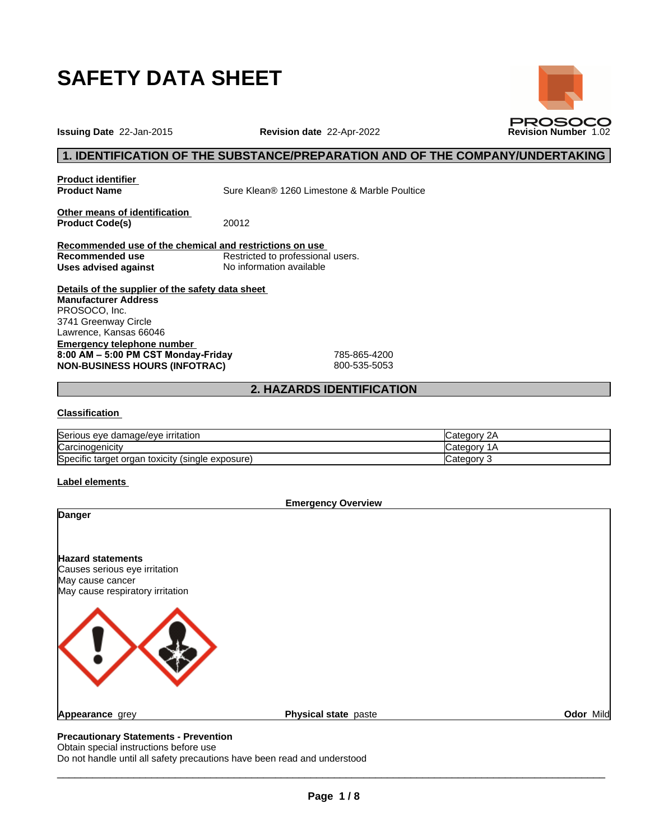

**Issuing Date** 22-Jan-2015 **Revision date** 22-Apr-2022 **Revision Number** 1.02

# **1. IDENTIFICATION OF THE SUBSTANCE/PREPARATION AND OF THE COMPANY/UNDERTAKING**

**PROSOCO** 

**Product identifier**

**Product Name** Sure Klean® 1260 Limestone & Marble Poultice

**Other means of identification**<br>**Product Code(s)** 20012 **Product Code(s)** 

**Recommended use of the chemical and restrictions on use** Restricted to professional users.<br>No information available **Uses** advised against

**Details of the supplier of the safety data sheet Emergency telephone number 8:00AM–5:00PMCSTMonday-Friday** 785-865-4200 **NON-BUSINESS HOURS (INFOTRAC)** 800-535-5053 **Manufacturer Address** PROSOCO, Inc. 3741 Greenway Circle Lawrence, Kansas 66046

# **2. HAZARDS IDENTIFICATION**

# **Classification**

| <b>Serious</b><br><b>irritation</b><br>∘damade/eve<br>eve              | $\overline{\phantom{a}}$ |
|------------------------------------------------------------------------|--------------------------|
| Carcinogenicity                                                        | lualegor<br>ı            |
| Specific<br>exposure)<br>≅tarqet<br>วrɑar<br>(single)<br>toxicity<br>◡ | :aor                     |

#### **Label elements**

|                                                      | <b>Emergency Overview</b> |           |
|------------------------------------------------------|---------------------------|-----------|
| <b>Danger</b>                                        |                           |           |
| <b>Hazard statements</b>                             |                           |           |
| Causes serious eye irritation                        |                           |           |
| May cause cancer<br>May cause respiratory irritation |                           |           |
|                                                      |                           |           |
| <b>Appearance</b> grey                               | Physical state paste      | Odor Mild |
| Dessautlanam: Otatamanta Desusatlan                  |                           |           |

#### **Precautionary Statements - Prevention** Obtain special instructions before use

Do not handle until all safety precautions have been read and understood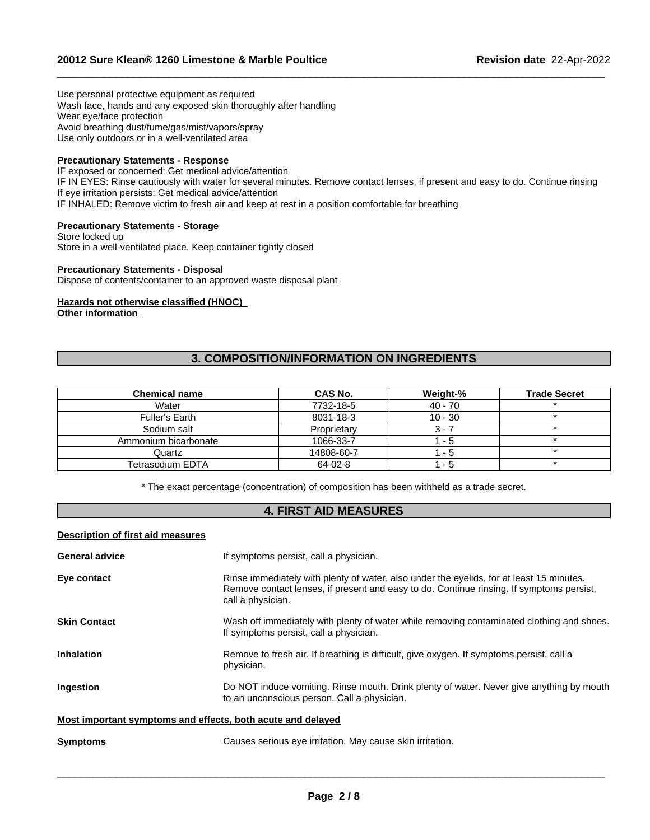Use personal protective equipment as required Wash face, hands and any exposed skin thoroughly after handling Wear eye/face protection Avoid breathing dust/fume/gas/mist/vapors/spray Use only outdoors or in a well-ventilated area

# **Precautionary Statements - Response**

IF exposed or concerned: Get medical advice/attention IF IN EYES: Rinse cautiously with water for several minutes. Remove contact lenses, if present and easy to do. Continue rinsing If eye irritation persists: Get medical advice/attention IF INHALED: Remove victim to fresh air and keep at rest in a position comfortable for breathing

 $\_$  ,  $\_$  ,  $\_$  ,  $\_$  ,  $\_$  ,  $\_$  ,  $\_$  ,  $\_$  ,  $\_$  ,  $\_$  ,  $\_$  ,  $\_$  ,  $\_$  ,  $\_$  ,  $\_$  ,  $\_$  ,  $\_$  ,  $\_$  ,  $\_$  ,  $\_$  ,  $\_$  ,  $\_$  ,  $\_$  ,  $\_$  ,  $\_$  ,  $\_$  ,  $\_$  ,  $\_$  ,  $\_$  ,  $\_$  ,  $\_$  ,  $\_$  ,  $\_$  ,  $\_$  ,  $\_$  ,  $\_$  ,  $\_$  ,

**Precautionary Statements - Storage** Store locked up

Store in a well-ventilated place. Keep container tightly closed

# **Precautionary Statements - Disposal**

Dispose of contents/container to an approved waste disposal plant

**Hazards not otherwise classified (HNOC) Other information**

# **3. COMPOSITION/INFORMATION ON INGREDIENTS**

| <b>Chemical name</b> | CAS No.     | Weight-%  | <b>Trade Secret</b> |
|----------------------|-------------|-----------|---------------------|
| Water                | 7732-18-5   | $40 - 70$ |                     |
| Fuller's Earth       | 8031-18-3   | $10 - 30$ |                     |
| Sodium salt          | Proprietary | 3 - 7     |                     |
| Ammonium bicarbonate | 1066-33-7   | - 5       |                     |
| Quartz               | 14808-60-7  | - 5       |                     |
| Tetrasodium EDTA     | 64-02-8     | - 5       |                     |

\* The exact percentage (concentration) ofcomposition has been withheld as a trade secret.

# **4. FIRST AID MEASURES**

#### **Description of first aid measures**

| <b>General advice</b>                                       | If symptoms persist, call a physician.                                                                                                                                                                    |
|-------------------------------------------------------------|-----------------------------------------------------------------------------------------------------------------------------------------------------------------------------------------------------------|
| Eye contact                                                 | Rinse immediately with plenty of water, also under the eyelids, for at least 15 minutes.<br>Remove contact lenses, if present and easy to do. Continue rinsing. If symptoms persist,<br>call a physician. |
| <b>Skin Contact</b>                                         | Wash off immediately with plenty of water while removing contaminated clothing and shoes.<br>If symptoms persist, call a physician.                                                                       |
| <b>Inhalation</b>                                           | Remove to fresh air. If breathing is difficult, give oxygen. If symptoms persist, call a<br>physician.                                                                                                    |
| Ingestion                                                   | Do NOT induce vomiting. Rinse mouth. Drink plenty of water. Never give anything by mouth<br>to an unconscious person. Call a physician.                                                                   |
| Most important symptoms and effects, both acute and delayed |                                                                                                                                                                                                           |
| <b>Symptoms</b>                                             | Causes serious eye irritation. May cause skin irritation.                                                                                                                                                 |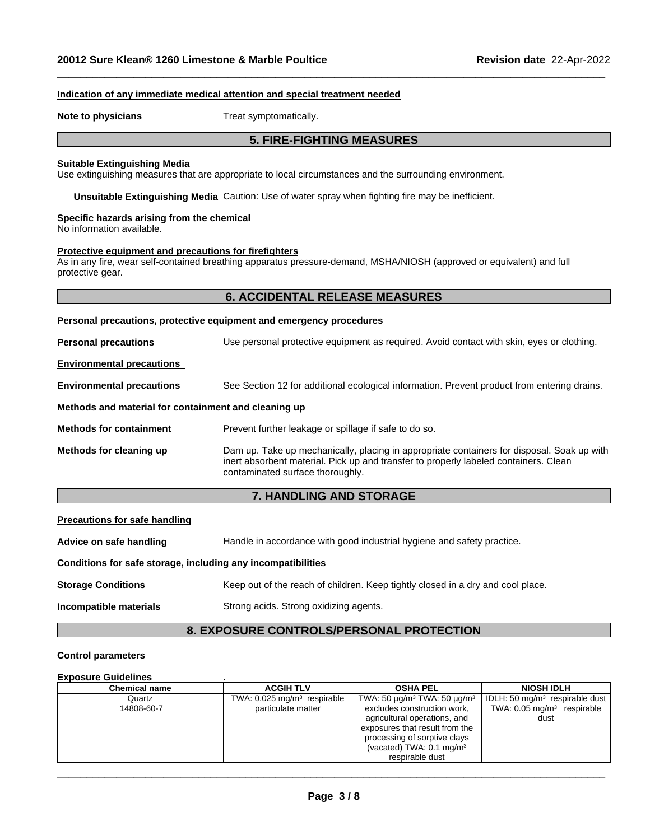#### **Indication of any immediate medical attention and special treatment needed**

**Note to physicians** Treat symptomatically.

# **5. FIRE-FIGHTING MEASURES**

 $\_$  ,  $\_$  ,  $\_$  ,  $\_$  ,  $\_$  ,  $\_$  ,  $\_$  ,  $\_$  ,  $\_$  ,  $\_$  ,  $\_$  ,  $\_$  ,  $\_$  ,  $\_$  ,  $\_$  ,  $\_$  ,  $\_$  ,  $\_$  ,  $\_$  ,  $\_$  ,  $\_$  ,  $\_$  ,  $\_$  ,  $\_$  ,  $\_$  ,  $\_$  ,  $\_$  ,  $\_$  ,  $\_$  ,  $\_$  ,  $\_$  ,  $\_$  ,  $\_$  ,  $\_$  ,  $\_$  ,  $\_$  ,  $\_$  ,

#### **Suitable Extinguishing Media**

Use extinguishing measures that are appropriate to local circumstances and the surrounding environment.

**Unsuitable Extinguishing Media** Caution: Use of water spray when fighting fire may be inefficient.

# **Specific hazards arising from the chemical**

No information available.

#### **Protective equipment and precautions for firefighters**

As in any fire, wear self-contained breathing apparatus pressure-demand, MSHA/NIOSH (approved or equivalent) and full protective gear.

#### **6. ACCIDENTAL RELEASE MEASURES**

## **Personal precautions, protective equipment and emergency procedures**

| <b>Personal precautions</b>                          | Use personal protective equipment as required. Avoid contact with skin, eyes or clothing.                                                                                                                              |
|------------------------------------------------------|------------------------------------------------------------------------------------------------------------------------------------------------------------------------------------------------------------------------|
| <b>Environmental precautions</b>                     |                                                                                                                                                                                                                        |
| <b>Environmental precautions</b>                     | See Section 12 for additional ecological information. Prevent product from entering drains.                                                                                                                            |
| Methods and material for containment and cleaning up |                                                                                                                                                                                                                        |
| <b>Methods for containment</b>                       | Prevent further leakage or spillage if safe to do so.                                                                                                                                                                  |
| Methods for cleaning up                              | Dam up. Take up mechanically, placing in appropriate containers for disposal. Soak up with<br>inert absorbent material. Pick up and transfer to properly labeled containers. Clean<br>contaminated surface thoroughly. |

# **7. HANDLING AND STORAGE**

#### **Precautions for safe handling**

**Advice on safe handling** Handle in accordance with good industrial hygiene and safety practice.

#### **Conditions for safe storage, including any incompatibilities**

**Storage Conditions** Keep out of the reach of children. Keep tightly closed in a dry and cool place.

**Incompatible materials** Strong acids. Strong oxidizing agents.

# **8. EXPOSURE CONTROLS/PERSONAL PROTECTION**

#### **Control parameters**

#### **Exposure Guidelines** .

| <b>Chemical name</b> | <b>ACGIH TLV</b>                          | <b>OSHA PEL</b>                                               | <b>NIOSH IDLH</b>                          |
|----------------------|-------------------------------------------|---------------------------------------------------------------|--------------------------------------------|
| Quartz               | TWA: $0.025$ mg/m <sup>3</sup> respirable | TWA: 50 $\mu$ g/m <sup>3</sup> TWA: 50 $\mu$ g/m <sup>3</sup> | IDLH: 50 mg/m <sup>3</sup> respirable dust |
| 14808-60-7           | particulate matter                        | excludes construction work,                                   | TWA: $0.05 \text{ mg/m}^3$ respirable      |
|                      |                                           | agricultural operations, and                                  | dust                                       |
|                      |                                           | exposures that result from the                                |                                            |
|                      |                                           | processing of sorptive clays                                  |                                            |
|                      |                                           | (vacated) TWA: $0.1 \text{ mg/m}^3$                           |                                            |
|                      |                                           | respirable dust                                               |                                            |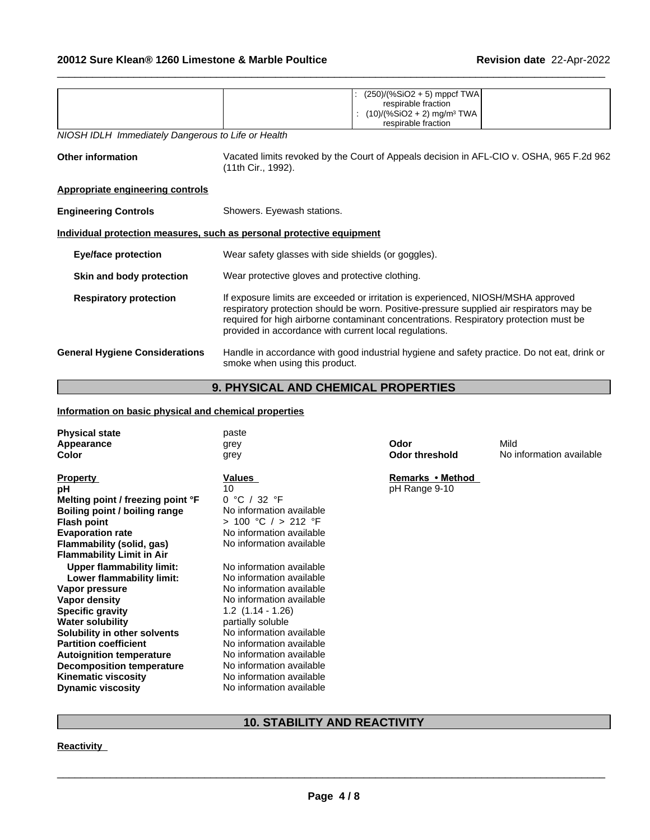|                                                    | $(250)/(%SiO2 + 5)$ mppcf TWA                                                                                                                                                                                                                                                                                                    |  |  |  |  |
|----------------------------------------------------|----------------------------------------------------------------------------------------------------------------------------------------------------------------------------------------------------------------------------------------------------------------------------------------------------------------------------------|--|--|--|--|
|                                                    | respirable fraction                                                                                                                                                                                                                                                                                                              |  |  |  |  |
|                                                    | $(10)/(%SiO2 + 2)$ mg/m <sup>3</sup> TWA                                                                                                                                                                                                                                                                                         |  |  |  |  |
|                                                    | respirable fraction                                                                                                                                                                                                                                                                                                              |  |  |  |  |
| NIOSH IDLH Immediately Dangerous to Life or Health |                                                                                                                                                                                                                                                                                                                                  |  |  |  |  |
| <b>Other information</b>                           | Vacated limits revoked by the Court of Appeals decision in AFL-CIO v. OSHA, 965 F.2d 962<br>(11th Cir., 1992).                                                                                                                                                                                                                   |  |  |  |  |
| <b>Appropriate engineering controls</b>            |                                                                                                                                                                                                                                                                                                                                  |  |  |  |  |
| <b>Engineering Controls</b>                        | Showers. Eyewash stations.                                                                                                                                                                                                                                                                                                       |  |  |  |  |
|                                                    | Individual protection measures, such as personal protective equipment                                                                                                                                                                                                                                                            |  |  |  |  |
| <b>Eye/face protection</b>                         | Wear safety glasses with side shields (or goggles).                                                                                                                                                                                                                                                                              |  |  |  |  |
| Skin and body protection                           | Wear protective gloves and protective clothing.                                                                                                                                                                                                                                                                                  |  |  |  |  |
| <b>Respiratory protection</b>                      | If exposure limits are exceeded or irritation is experienced, NIOSH/MSHA approved<br>respiratory protection should be worn. Positive-pressure supplied air respirators may be<br>required for high airborne contaminant concentrations. Respiratory protection must be<br>provided in accordance with current local regulations. |  |  |  |  |
| <b>General Hygiene Considerations</b>              | Handle in accordance with good industrial hygiene and safety practice. Do not eat, drink or<br>smoke when using this product.                                                                                                                                                                                                    |  |  |  |  |
|                                                    |                                                                                                                                                                                                                                                                                                                                  |  |  |  |  |

 $\_$  ,  $\_$  ,  $\_$  ,  $\_$  ,  $\_$  ,  $\_$  ,  $\_$  ,  $\_$  ,  $\_$  ,  $\_$  ,  $\_$  ,  $\_$  ,  $\_$  ,  $\_$  ,  $\_$  ,  $\_$  ,  $\_$  ,  $\_$  ,  $\_$  ,  $\_$  ,  $\_$  ,  $\_$  ,  $\_$  ,  $\_$  ,  $\_$  ,  $\_$  ,  $\_$  ,  $\_$  ,  $\_$  ,  $\_$  ,  $\_$  ,  $\_$  ,  $\_$  ,  $\_$  ,  $\_$  ,  $\_$  ,  $\_$  ,

# **9. PHYSICAL AND CHEMICAL PROPERTIES**

# **Information on basic physical and chemical properties**

| <b>Physical state</b>             | paste                    |                       |                          |
|-----------------------------------|--------------------------|-----------------------|--------------------------|
| Appearance                        | grey                     | Odor                  | Mild                     |
| Color                             | grey                     | <b>Odor threshold</b> | No information available |
|                                   |                          |                       |                          |
| <b>Property</b>                   | Values                   | Remarks • Method      |                          |
| рH                                | 10                       | pH Range 9-10         |                          |
| Melting point / freezing point °F | 0 °C / 32 °F             |                       |                          |
| Boiling point / boiling range     | No information available |                       |                          |
| <b>Flash point</b>                | $> 100$ °C $/ > 212$ °F  |                       |                          |
| <b>Evaporation rate</b>           | No information available |                       |                          |
| Flammability (solid, gas)         | No information available |                       |                          |
| <b>Flammability Limit in Air</b>  |                          |                       |                          |
| <b>Upper flammability limit:</b>  | No information available |                       |                          |
| Lower flammability limit:         | No information available |                       |                          |
| Vapor pressure                    | No information available |                       |                          |
| Vapor density                     | No information available |                       |                          |
| <b>Specific gravity</b>           | $1.2$ $(1.14 - 1.26)$    |                       |                          |
| <b>Water solubility</b>           | partially soluble        |                       |                          |
| Solubility in other solvents      | No information available |                       |                          |
| <b>Partition coefficient</b>      | No information available |                       |                          |
| <b>Autoignition temperature</b>   | No information available |                       |                          |
| <b>Decomposition temperature</b>  | No information available |                       |                          |
| <b>Kinematic viscosity</b>        | No information available |                       |                          |
| <b>Dynamic viscosity</b>          | No information available |                       |                          |
|                                   |                          |                       |                          |

# **10. STABILITY AND REACTIVITY**

**Reactivity**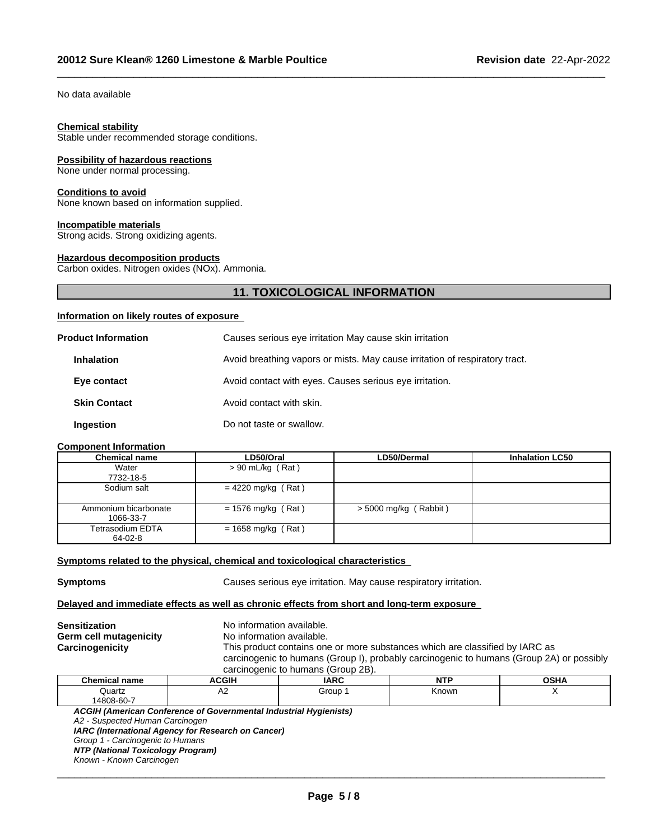No data available

#### **Chemical stability**

Stable under recommended storage conditions.

#### **Possibility of hazardous reactions**

None under normal processing.

#### **Conditions to avoid**

None known based on information supplied.

#### **Incompatible materials**

Strong acids. Strong oxidizing agents.

#### **Hazardous decomposition products**

Carbon oxides. Nitrogen oxides (NOx). Ammonia.

# **11. TOXICOLOGICAL INFORMATION**

 $\_$  ,  $\_$  ,  $\_$  ,  $\_$  ,  $\_$  ,  $\_$  ,  $\_$  ,  $\_$  ,  $\_$  ,  $\_$  ,  $\_$  ,  $\_$  ,  $\_$  ,  $\_$  ,  $\_$  ,  $\_$  ,  $\_$  ,  $\_$  ,  $\_$  ,  $\_$  ,  $\_$  ,  $\_$  ,  $\_$  ,  $\_$  ,  $\_$  ,  $\_$  ,  $\_$  ,  $\_$  ,  $\_$  ,  $\_$  ,  $\_$  ,  $\_$  ,  $\_$  ,  $\_$  ,  $\_$  ,  $\_$  ,  $\_$  ,

#### **Information on likely routes of exposure**

| <b>Product Information</b> | Causes serious eye irritation May cause skin irritation                     |
|----------------------------|-----------------------------------------------------------------------------|
| <b>Inhalation</b>          | Avoid breathing vapors or mists. May cause irritation of respiratory tract. |
| Eye contact                | Avoid contact with eyes. Causes serious eye irritation.                     |
| <b>Skin Contact</b>        | Avoid contact with skin.                                                    |
| Ingestion                  | Do not taste or swallow.                                                    |

#### **Component Information**

| <b>Chemical name</b>              | LD50/Oral            | LD50/Dermal           | <b>Inhalation LC50</b> |
|-----------------------------------|----------------------|-----------------------|------------------------|
| Water                             | $> 90$ mL/kg (Rat)   |                       |                        |
| 7732-18-5                         |                      |                       |                        |
| Sodium salt                       | $= 4220$ mg/kg (Rat) |                       |                        |
| Ammonium bicarbonate<br>1066-33-7 | $= 1576$ mg/kg (Rat) | > 5000 mg/kg (Rabbit) |                        |
| Tetrasodium EDTA<br>64-02-8       | $= 1658$ mg/kg (Rat) |                       |                        |

#### **<u>Symptoms related to the physical, chemical and toxicological characteristics</u>**

**Symptoms Causes serious eye irritation. May cause respiratory irritation.** 

## **Delayed and immediate effects as well as chronic effects from short and long-term exposure**

|                        |                           | carcinogenic to humans (Group 2B).                                                       |  |  |  |  |
|------------------------|---------------------------|------------------------------------------------------------------------------------------|--|--|--|--|
|                        |                           |                                                                                          |  |  |  |  |
|                        |                           | carcinogenic to humans (Group I), probably carcinogenic to humans (Group 2A) or possibly |  |  |  |  |
| Carcinogenicity        |                           | This product contains one or more substances which are classified by IARC as             |  |  |  |  |
| Germ cell mutagenicity | No information available. |                                                                                          |  |  |  |  |
| <b>Sensitization</b>   | No information available. |                                                                                          |  |  |  |  |

| <b>Chemical name</b> | $\sim$ $\sim$ $\sim$ $\sim$<br>ווטטר | <b>IARC</b> | .                           | <b>OCUA</b><br>וטע<br>лr |
|----------------------|--------------------------------------|-------------|-----------------------------|--------------------------|
| Quartz               | ∼                                    | Group       | <b><nown< b=""></nown<></b> |                          |
| 14808-60-7           |                                      |             |                             |                          |

*ACGIH (American Conference of Governmental Industrial Hygienists)*

*A2 - Suspected Human Carcinogen*

*IARC (International Agency for Research on Cancer)*

*Group 1 - Carcinogenic to Humans*

*NTP (National Toxicology Program)*

*Known - Known Carcinogen*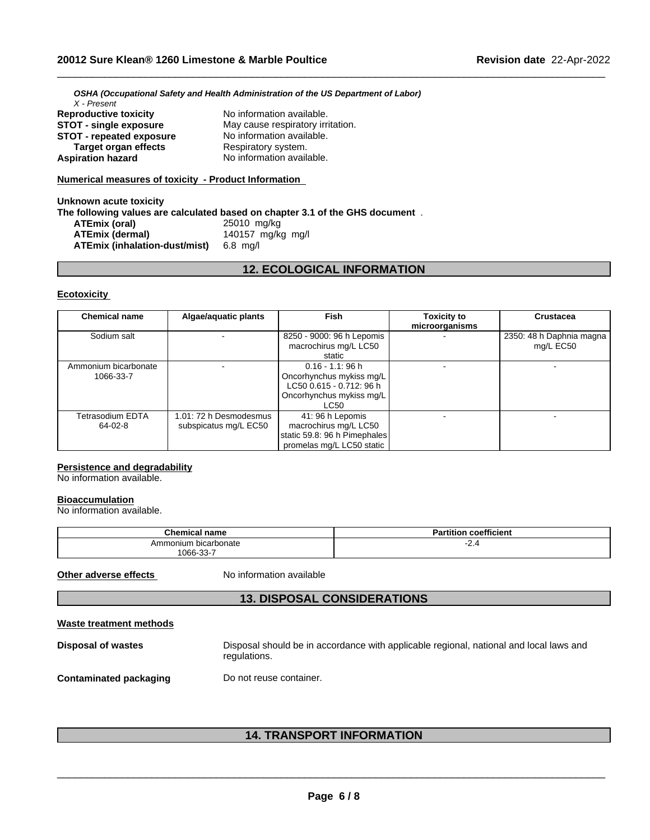*OSHA (Occupational Safety and Health Administration of the US Department of Labor) X - Present* **Reproductive toxicity** No information available. **STOT - single exposure** May cause respiratory irritation.

**STOT - repeated exposure** No information available. **Respiratory system. Aspiration hazard** No information available.

# **Numerical measures of toxicity - Product Information**

#### **Unknown acute toxicity The following values are calculated based on chapter 3.1 of the GHS document** . **ATEmix (oral)** 25010 mg/kg<br>**ATEmix (dermal)** 25010 140157 mg/kg **ATEmix (dermal)**140157 mg/kg mg/l **ATEmix (inhalation-dust/mist)** 6.8 mg/l

# **12. ECOLOGICAL INFORMATION**

 $\_$  ,  $\_$  ,  $\_$  ,  $\_$  ,  $\_$  ,  $\_$  ,  $\_$  ,  $\_$  ,  $\_$  ,  $\_$  ,  $\_$  ,  $\_$  ,  $\_$  ,  $\_$  ,  $\_$  ,  $\_$  ,  $\_$  ,  $\_$  ,  $\_$  ,  $\_$  ,  $\_$  ,  $\_$  ,  $\_$  ,  $\_$  ,  $\_$  ,  $\_$  ,  $\_$  ,  $\_$  ,  $\_$  ,  $\_$  ,  $\_$  ,  $\_$  ,  $\_$  ,  $\_$  ,  $\_$  ,  $\_$  ,  $\_$  ,

### **Ecotoxicity**

| <b>Chemical name</b>               | Algae/aquatic plants                            | Fish                                                                                                                   | <b>Toxicity to</b><br>microorganisms | <b>Crustacea</b>                      |
|------------------------------------|-------------------------------------------------|------------------------------------------------------------------------------------------------------------------------|--------------------------------------|---------------------------------------|
| Sodium salt                        |                                                 | 8250 - 9000: 96 h Lepomis<br>macrochirus mg/L LC50<br>static                                                           |                                      | 2350: 48 h Daphnia magna<br>mg/L EC50 |
| Ammonium bicarbonate<br>1066-33-7  |                                                 | $0.16 - 1.1$ : 96 h<br>Oncorhynchus mykiss mg/L<br>LC50 0.615 - 0.712: 96 h<br>Oncorhynchus mykiss mg/L<br><b>LC50</b> |                                      |                                       |
| <b>Tetrasodium EDTA</b><br>64-02-8 | 1.01: 72 h Desmodesmus<br>subspicatus mg/L EC50 | 41: 96 h Lepomis<br>macrochirus mg/L LC50<br>static 59.8: 96 h Pimephales<br>promelas mg/L LC50 static                 |                                      |                                       |

## **Persistence and degradability**

No information available.

### **Bioaccumulation**

No information available.

| <b>Chemical name</b>      | <br><b>Partition coefficient</b> |
|---------------------------|----------------------------------|
| ı bicarbonate<br>Ammonium | -2.4                             |
| 1066-33-7                 |                                  |

**Other adverse effects** No information available

# **13. DISPOSAL CONSIDERATIONS**

### **Waste treatment methods**

| Disposal of wastes     | Disposal should be in accordance with applicable regional, national and local laws and<br>regulations. |
|------------------------|--------------------------------------------------------------------------------------------------------|
| Contaminated packaging | Do not reuse container.                                                                                |

# **14. TRANSPORT INFORMATION**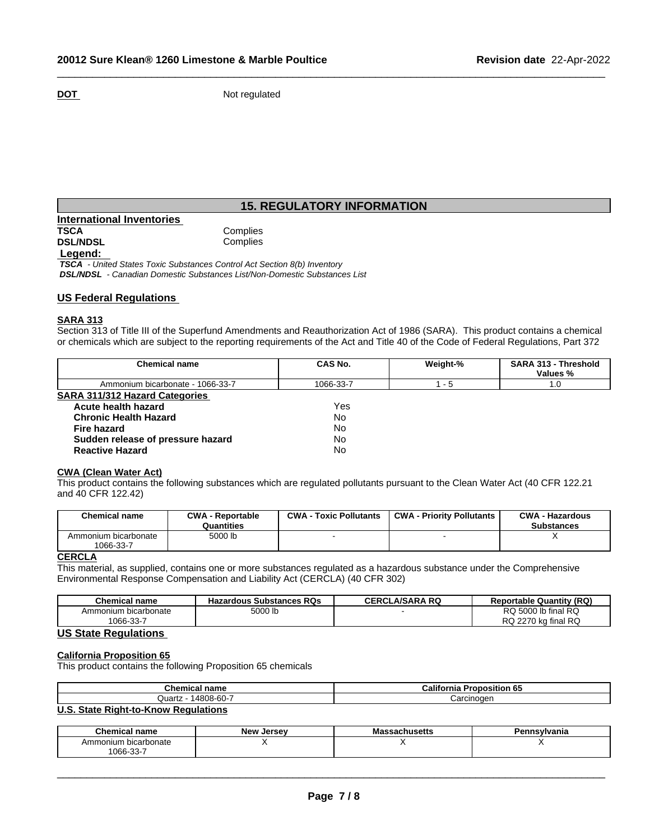**DOT** Not regulated

# **15. REGULATORY INFORMATION**

 $\_$  ,  $\_$  ,  $\_$  ,  $\_$  ,  $\_$  ,  $\_$  ,  $\_$  ,  $\_$  ,  $\_$  ,  $\_$  ,  $\_$  ,  $\_$  ,  $\_$  ,  $\_$  ,  $\_$  ,  $\_$  ,  $\_$  ,  $\_$  ,  $\_$  ,  $\_$  ,  $\_$  ,  $\_$  ,  $\_$  ,  $\_$  ,  $\_$  ,  $\_$  ,  $\_$  ,  $\_$  ,  $\_$  ,  $\_$  ,  $\_$  ,  $\_$  ,  $\_$  ,  $\_$  ,  $\_$  ,  $\_$  ,  $\_$  ,

| International Inventories |          |
|---------------------------|----------|
| TSCA                      | Complies |
| <b>DSL/NDSL</b>           | Complies |
| Legend:                   |          |

 *TSCA - United States Toxic Substances Control Act Section 8(b) Inventory DSL/NDSL - Canadian Domestic Substances List/Non-Domestic Substances List*

# **US Federal Regulations**

### **SARA 313**

Section 313 of Title III of the Superfund Amendments and Reauthorization Act of 1986 (SARA). This product contains a chemical or chemicals which are subject to the reporting requirements of the Act and Title 40 of the Code of Federal Regulations, Part 372

| <b>Chemical name</b>                  | CAS No.   | Weight-% | <b>SARA 313 - Threshold</b><br>Values % |  |
|---------------------------------------|-----------|----------|-----------------------------------------|--|
| Ammonium bicarbonate - 1066-33-7      | 1066-33-7 | - 5      | 1.0                                     |  |
| <b>SARA 311/312 Hazard Categories</b> |           |          |                                         |  |
| Acute health hazard                   | Yes       |          |                                         |  |
| <b>Chronic Health Hazard</b>          | No        |          |                                         |  |
| Fire hazard                           | No        |          |                                         |  |
| Sudden release of pressure hazard     | No        |          |                                         |  |
| <b>Reactive Hazard</b>                | No        |          |                                         |  |

## **CWA (Clean WaterAct)**

This product contains the following substances which are regulated pollutants pursuant to the Clean Water Act (40 CFR 122.21 and 40 CFR 122.42)

| <b>Chemical name</b>              | <b>CWA - Reportable</b><br>Quantities | <b>CWA - Toxic Pollutants</b> | <b>CWA - Priority Pollutants</b> | <b>CWA - Hazardous</b><br><b>Substances</b> |
|-----------------------------------|---------------------------------------|-------------------------------|----------------------------------|---------------------------------------------|
| Ammonium bicarbonate<br>1066-33-7 | 5000 lb                               |                               |                                  |                                             |

# **CERCLA**

This material, as supplied, contains one or more substances regulated as a hazardous substance under the Comprehensive Environmental Response Compensation and Liability Act (CERCLA) (40 CFR 302)

| Chemical name            | <b>Hazardous Substances RQs</b> | <b>LA/SARA RQ</b><br>CERCL | (RQ)<br>: Quantitv<br>Reportable |
|--------------------------|---------------------------------|----------------------------|----------------------------------|
| ⊧bicarbonate<br>Ammonium | 5000 lb                         |                            | Ib final RQ<br>nn<br>5000<br>ิ   |
| $\sim$<br>$066-33-$      |                                 |                            | kg final RQ<br>RQ<br>227c        |

# **US State Regulations**

# **California Proposition 65**

This product contains the following Proposition 65 chemicals

| <b>Chemical name</b>          | California<br>--<br>Proposition 65 |
|-------------------------------|------------------------------------|
| 14808-60-7<br>Quartz          | Carcinoger                         |
| $\mathbf{H} \cdot \mathbf{A}$ |                                    |

# **U.S. State Right-to-Know Regulations**

| <u> Ан</u><br>name<br>Chemical   | New<br>Jersev | racmusens | - פ<br>≅≏∾Ivania |
|----------------------------------|---------------|-----------|------------------|
| Ammonium bicarbonate             |               |           | . .              |
| $\sim$ $\sim$<br>$1066 - 33 - 1$ |               |           |                  |